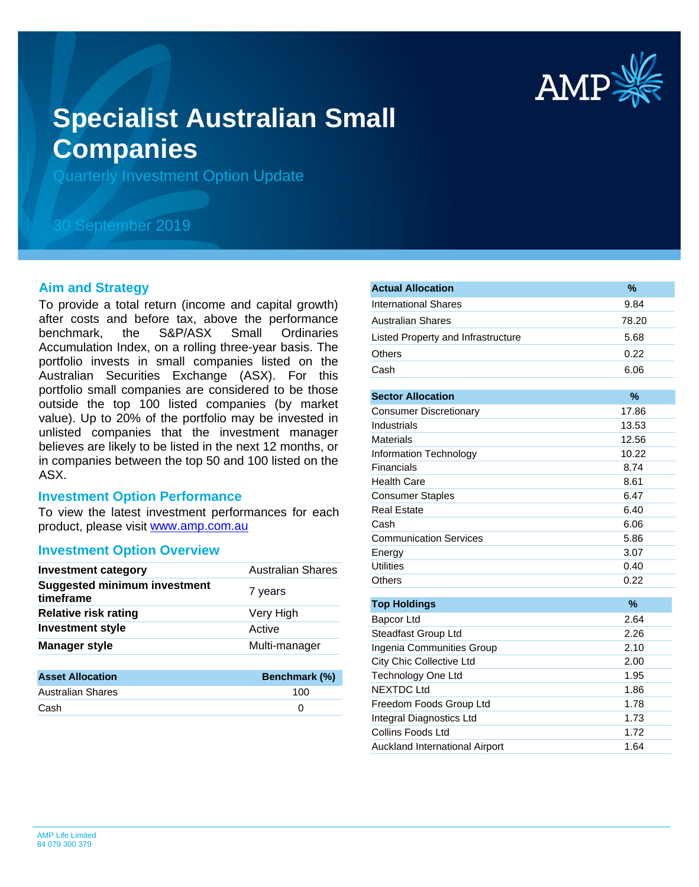

# **Specialist Australian Small Companies**

Quarterly Investment Option Update

## 30 September 2019

#### **Aim and Strategy**

To provide a total return (income and capital growth) after costs and before tax, above the performance benchmark, the S&P/ASX Small Ordinaries Accumulation Index, on a rolling three-year basis. The portfolio invests in small companies listed on the Australian Securities Exchange (ASX). For this portfolio small companies are considered to be those outside the top 100 listed companies (by market value). Up to 20% of the portfolio may be invested in unlisted companies that the investment manager believes are likely to be listed in the next 12 months, or in companies between the top 50 and 100 listed on the ASX.

#### **Investment Option Performance**

product, please visit [www.amp.com.au](https://www.amp.com.au) To view the latest investment performances for each

#### **Investment Option Overview**

| <b>Investment category</b>                       | <b>Australian Shares</b> |
|--------------------------------------------------|--------------------------|
| <b>Suggested minimum investment</b><br>timeframe | 7 years                  |
| <b>Relative risk rating</b>                      | Very High                |
| <b>Investment style</b>                          | Active                   |
| <b>Manager style</b>                             | Multi-manager            |
| Accot Allocation                                 | Ronchmork (%)            |

| <b>Asset Allocation</b>  | <b>Benchmark (%)</b> |
|--------------------------|----------------------|
| <b>Australian Shares</b> | 100                  |
| Cash                     |                      |

| <b>Actual Allocation</b>           | $\%$  |
|------------------------------------|-------|
| <b>International Shares</b>        | 9.84  |
| <b>Australian Shares</b>           | 78.20 |
| Listed Property and Infrastructure | 5.68  |
| Others                             | 0.22  |
| Cash                               | 6.06  |
|                                    |       |
| <b>Sector Allocation</b>           | $\%$  |
| <b>Consumer Discretionary</b>      | 17.86 |
| Industrials                        | 13.53 |
| <b>Materials</b>                   | 12.56 |
| Information Technology             | 10.22 |
| Financials                         | 8.74  |
| <b>Health Care</b>                 | 8.61  |
| <b>Consumer Staples</b>            | 6.47  |
| <b>Real Estate</b>                 | 6.40  |
| Cash                               | 6.06  |
| <b>Communication Services</b>      | 5.86  |
| Energy                             | 3.07  |
| <b>Utilities</b>                   | 0.40  |
| <b>Others</b>                      | 0.22  |
| <b>Top Holdings</b>                | %     |
| Bapcor Ltd                         | 2.64  |
| Steadfast Group Ltd                | 2.26  |
| Ingenia Communities Group          | 2.10  |
| <b>City Chic Collective Ltd</b>    | 2.00  |
| Technology One Ltd                 | 1.95  |
| <b>NEXTDC Ltd</b>                  | 1.86  |
| Freedom Foods Group Ltd            | 1.78  |
| Integral Diagnostics Ltd           | 1.73  |
| Collins Foods Ltd                  | 1.72  |
| Auckland International Airport     | 1.64  |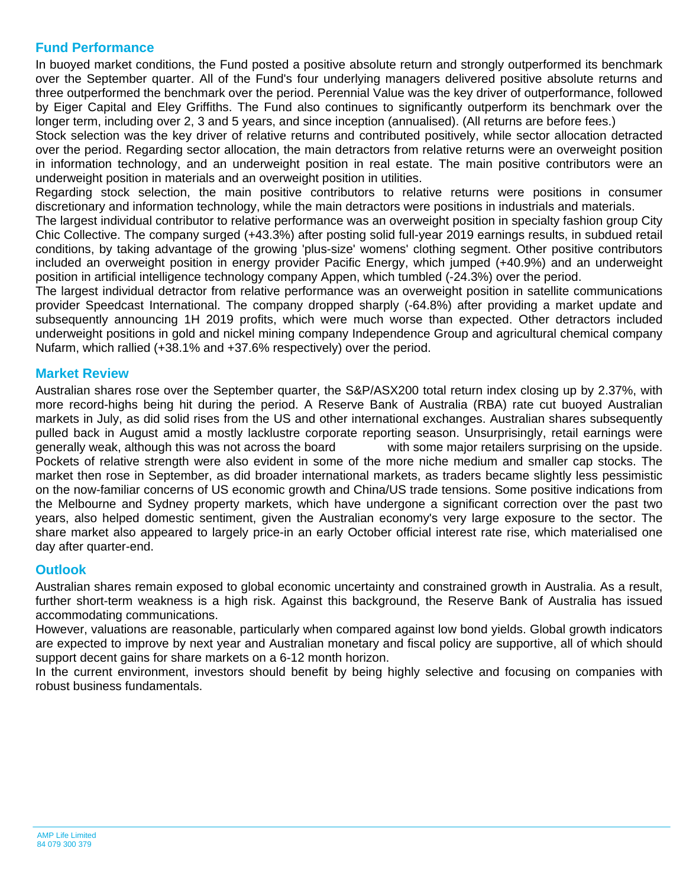### **Fund Performance**

In buoyed market conditions, the Fund posted a positive absolute return and strongly outperformed its benchmark over the September quarter. All of the Fund's four underlying managers delivered positive absolute returns and three outperformed the benchmark over the period. Perennial Value was the key driver of outperformance, followed by Eiger Capital and Eley Griffiths. The Fund also continues to significantly outperform its benchmark over the longer term, including over 2, 3 and 5 years, and since inception (annualised). (All returns are before fees.)

Stock selection was the key driver of relative returns and contributed positively, while sector allocation detracted over the period. Regarding sector allocation, the main detractors from relative returns were an overweight position in information technology, and an underweight position in real estate. The main positive contributors were an underweight position in materials and an overweight position in utilities.

Regarding stock selection, the main positive contributors to relative returns were positions in consumer discretionary and information technology, while the main detractors were positions in industrials and materials.

The largest individual contributor to relative performance was an overweight position in specialty fashion group City Chic Collective. The company surged (+43.3%) after posting solid full-year 2019 earnings results, in subdued retail conditions, by taking advantage of the growing 'plus-size' womens' clothing segment. Other positive contributors included an overweight position in energy provider Pacific Energy, which jumped (+40.9%) and an underweight position in artificial intelligence technology company Appen, which tumbled (-24.3%) over the period.

The largest individual detractor from relative performance was an overweight position in satellite communications provider Speedcast International. The company dropped sharply (-64.8%) after providing a market update and subsequently announcing 1H 2019 profits, which were much worse than expected. Other detractors included underweight positions in gold and nickel mining company Independence Group and agricultural chemical company Nufarm, which rallied (+38.1% and +37.6% respectively) over the period.

#### **Market Review**

Australian shares rose over the September quarter, the S&P/ASX200 total return index closing up by 2.37%, with more record-highs being hit during the period. A Reserve Bank of Australia (RBA) rate cut buoyed Australian markets in July, as did solid rises from the US and other international exchanges. Australian shares subsequently pulled back in August amid a mostly lacklustre corporate reporting season. Unsurprisingly, retail earnings were generally weak, although this was not across the board with some major retailers surprising on the upside. Pockets of relative strength were also evident in some of the more niche medium and smaller cap stocks. The market then rose in September, as did broader international markets, as traders became slightly less pessimistic on the now-familiar concerns of US economic growth and China/US trade tensions. Some positive indications from the Melbourne and Sydney property markets, which have undergone a significant correction over the past two years, also helped domestic sentiment, given the Australian economy's very large exposure to the sector. The share market also appeared to largely price-in an early October official interest rate rise, which materialised one day after quarter-end.

#### **Outlook**

Australian shares remain exposed to global economic uncertainty and constrained growth in Australia. As a result, further short-term weakness is a high risk. Against this background, the Reserve Bank of Australia has issued accommodating communications.

However, valuations are reasonable, particularly when compared against low bond yields. Global growth indicators are expected to improve by next year and Australian monetary and fiscal policy are supportive, all of which should support decent gains for share markets on a 6-12 month horizon.

In the current environment, investors should benefit by being highly selective and focusing on companies with robust business fundamentals.